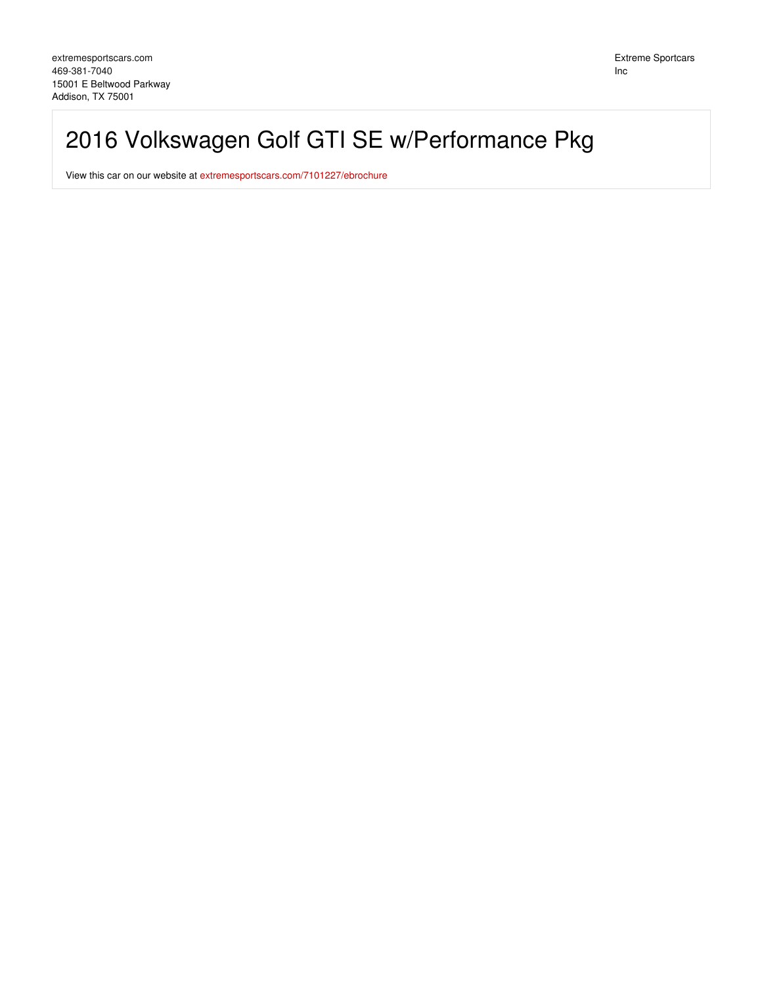# 2016 Volkswagen Golf GTI SE w/Performance Pkg

View this car on our website at [extremesportscars.com/7101227/ebrochure](https://extremesportscars.com/vehicle/7101227/2016-volkswagen-golf-gti-se-w-performance-pkg-addison-tx-75001/7101227/ebrochure)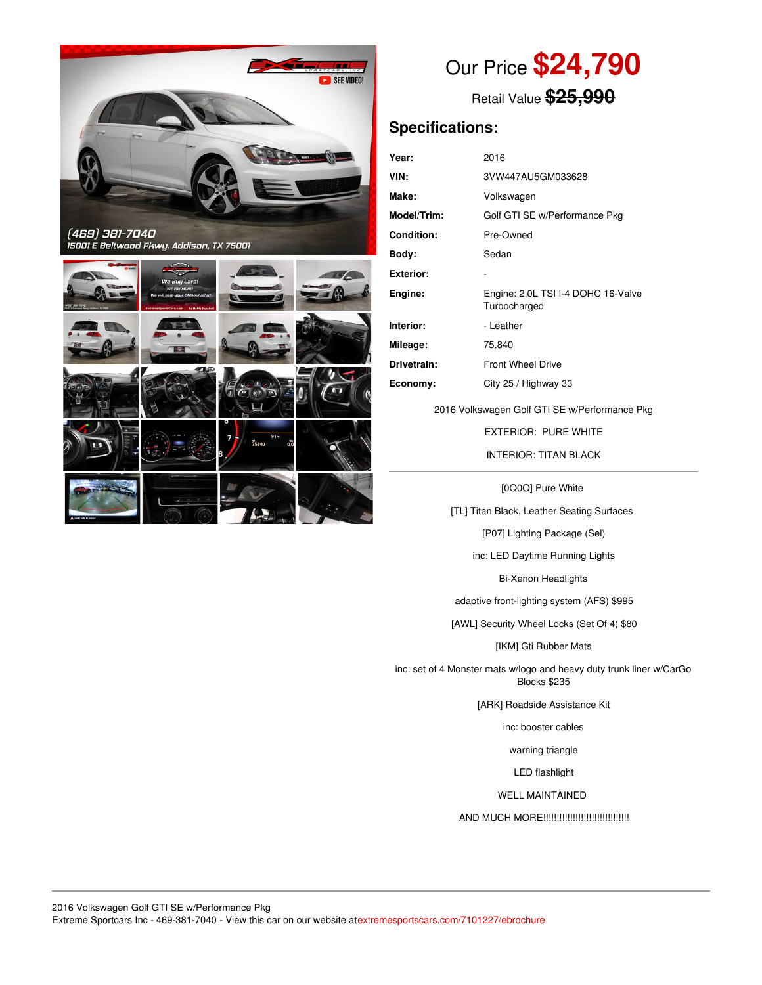



## Our Price **\$24,790**

Retail Value **\$25,990**

## **Specifications:**

| Year:             | 2016                                               |
|-------------------|----------------------------------------------------|
| VIN:              | 3VW447AU5GM033628                                  |
| Make:             | Volkswagen                                         |
| Model/Trim:       | Golf GTI SE w/Performance Pkg                      |
| <b>Condition:</b> | Pre-Owned                                          |
| Body:             | Sedan                                              |
| <b>Exterior:</b>  |                                                    |
| Engine:           | Engine: 2.0L TSI I-4 DOHC 16-Valve<br>Turbocharged |
| Interior:         | - Leather                                          |
| Mileage:          | 75,840                                             |
| Drivetrain:       | <b>Front Wheel Drive</b>                           |
| Economy:          | City 25 / Highway 33                               |

2016 Volkswagen Golf GTI SE w/Performance Pkg

EXTERIOR: PURE WHITE INTERIOR: TITAN BLACK

[0Q0Q] Pure White

[TL] Titan Black, Leather Seating Surfaces

[P07] Lighting Package (Sel)

inc: LED Daytime Running Lights

Bi-Xenon Headlights

adaptive front-lighting system (AFS) \$995

[AWL] Security Wheel Locks (Set Of 4) \$80

[IKM] Gti Rubber Mats

inc: set of 4 Monster mats w/logo and heavy duty trunk liner w/CarGo Blocks \$235

[ARK] Roadside Assistance Kit

inc: booster cables

warning triangle

LED flashlight

WELL MAINTAINED

AND MUCH MORE!!!!!!!!!!!!!!!!!!!!!!!!!!!!!!!!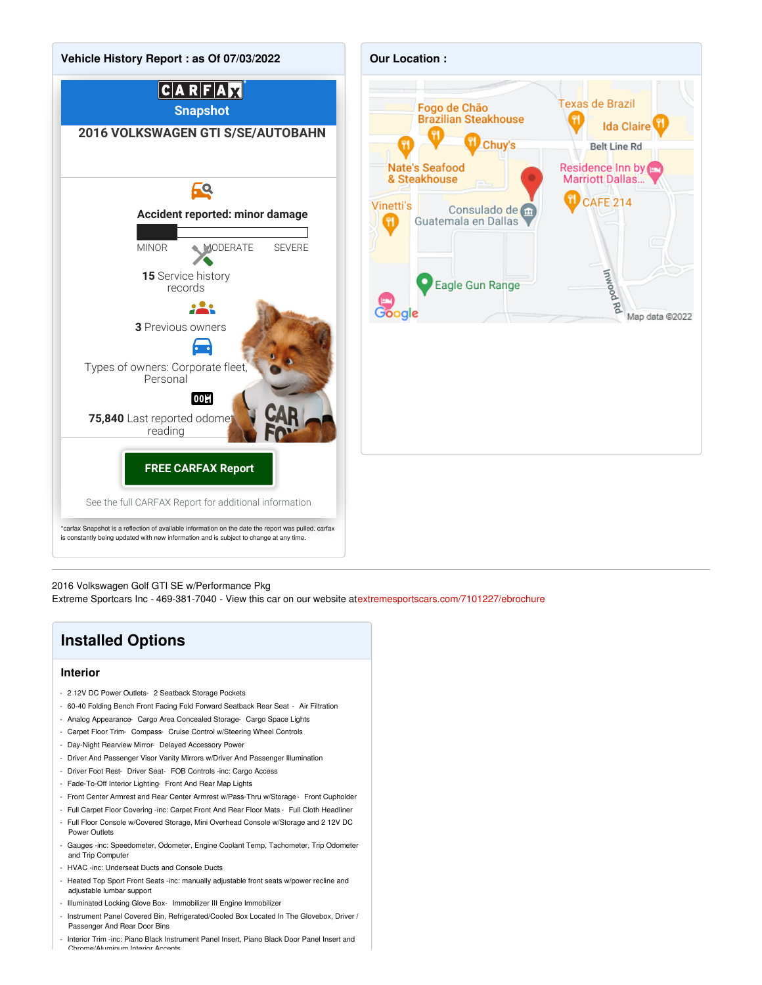



2016 Volkswagen Golf GTI SE w/Performance Pkg

Extreme Sportcars Inc - 469-381-7040 - View this car on our website at[extremesportscars.com/7101227/ebrochure](https://extremesportscars.com/vehicle/7101227/2016-volkswagen-golf-gti-se-w-performance-pkg-addison-tx-75001/7101227/ebrochure)

### **Installed Options**

### **Interior**

- 2 12V DC Power Outlets- 2 Seatback Storage Pockets
- 60-40 Folding Bench Front Facing Fold Forward Seatback Rear Seat Air Filtration
- Analog Appearance- Cargo Area Concealed Storage- Cargo Space Lights
- Carpet Floor Trim- Compass- Cruise Control w/Steering Wheel Controls
- Day-Night Rearview Mirror- Delayed Accessory Power
- Driver And Passenger Visor Vanity Mirrors w/Driver And Passenger Illumination
- Driver Foot Rest- Driver Seat- FOB Controls -inc: Cargo Access
- Fade-To-Off Interior Lighting- Front And Rear Map Lights
- Front Center Armrest and Rear Center Armrest w/Pass-Thru w/Storage- Front Cupholder
- Full Carpet Floor Covering -inc: Carpet Front And Rear Floor Mats Full Cloth Headliner
- Full Floor Console w/Covered Storage, Mini Overhead Console w/Storage and 2 12V DC Power Outlets
- Gauges -inc: Speedometer, Odometer, Engine Coolant Temp, Tachometer, Trip Odometer and Trip Computer
- HVAC -inc: Underseat Ducts and Console Ducts
- Heated Top Sport Front Seats -inc: manually adjustable front seats w/power recline and adjustable lumbar support
- Illuminated Locking Glove Box- Immobilizer III Engine Immobilizer
- Instrument Panel Covered Bin, Refrigerated/Cooled Box Located In The Glovebox, Driver / Passenger And Rear Door Bins
- Interior Trim -inc: Piano Black Instrument Panel Insert, Piano Black Door Panel Insert and<br>Chrome Muminum Interior Accorts num Interior Acc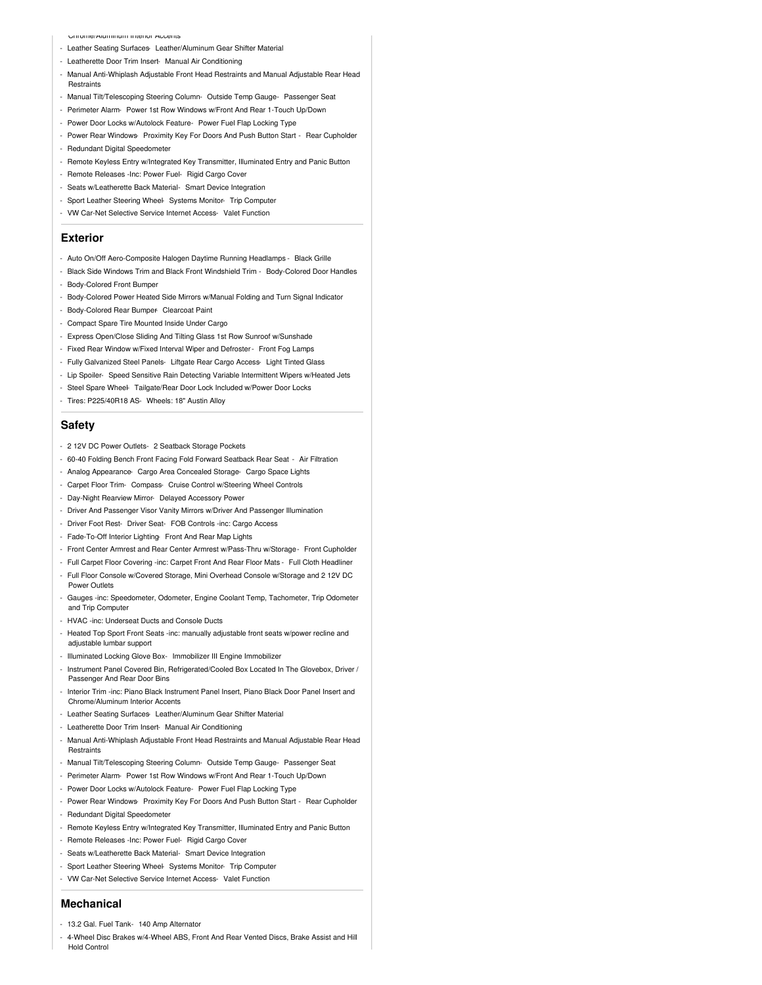Chrome/Aluminum Interior Accents

- Leather Seating Surfaces- Leather/Aluminum Gear Shifter Material
- Leatherette Door Trim Insert- Manual Air Conditioning
- Manual Anti-Whiplash Adjustable Front Head Restraints and Manual Adjustable Rear Head **Restraints**
- Manual Tilt/Telescoping Steering Column- Outside Temp Gauge- Passenger Seat
- Perimeter Alarm- Power 1st Row Windows w/Front And Rear 1-Touch Up/Down
- Power Door Locks w/Autolock Feature- Power Fuel Flap Locking Type
- Power Rear Windows- Proximity Key For Doors And Push Button Start Rear Cupholder - Redundant Digital Speedometer
- Remote Keyless Entry w/Integrated Key Transmitter, Illuminated Entry and Panic Button
- Remote Releases -Inc: Power Fuel- Rigid Cargo Cover
- Seats w/Leatherette Back Material- Smart Device Integration
- 
- Sport Leather Steering Wheel- Systems Monitor- Trip Computer
- VW Car-Net Selective Service Internet Access- Valet Function

#### **Exterior**

- Auto On/Off Aero-Composite Halogen Daytime Running Headlamps Black Grille
- Black Side Windows Trim and Black Front Windshield Trim Body-Colored Door Handles
- Body-Colored Front Bumper
- Body-Colored Power Heated Side Mirrors w/Manual Folding and Turn Signal Indicator
- Body-Colored Rear Bumper- Clearcoat Paint
- Compact Spare Tire Mounted Inside Under Cargo
- Express Open/Close Sliding And Tilting Glass 1st Row Sunroof w/Sunshade
- Fixed Rear Window w/Fixed Interval Wiper and Defroster- Front Fog Lamps
- Fully Galvanized Steel Panels- Liftgate Rear Cargo Access- Light Tinted Glass
- Lip Spoiler- Speed Sensitive Rain Detecting Variable Intermittent Wipers w/Heated Jets
- Steel Spare Wheel- Tailgate/Rear Door Lock Included w/Power Door Locks
- Tires: P225/40R18 AS- Wheels: 18" Austin Alloy

#### **Safety**

- 2 12V DC Power Outlets- 2 Seatback Storage Pockets
- 60-40 Folding Bench Front Facing Fold Forward Seatback Rear Seat Air Filtration
- Analog Appearance- Cargo Area Concealed Storage- Cargo Space Lights
- Carpet Floor Trim- Compass- Cruise Control w/Steering Wheel Controls
- Day-Night Rearview Mirror- Delayed Accessory Power
- Driver And Passenger Visor Vanity Mirrors w/Driver And Passenger Illumination
- Driver Foot Rest- Driver Seat- FOB Controls -inc: Cargo Access
- Fade-To-Off Interior Lighting- Front And Rear Map Lights
- Front Center Armrest and Rear Center Armrest w/Pass-Thru w/Storage- Front Cupholder
- Full Carpet Floor Covering -inc: Carpet Front And Rear Floor Mats Full Cloth Headliner
- Full Floor Console w/Covered Storage, Mini Overhead Console w/Storage and 2 12V DC Power Outlets
- Gauges -inc: Speedometer, Odometer, Engine Coolant Temp, Tachometer, Trip Odometer and Trip Computer
- HVAC -inc: Underseat Ducts and Console Ducts
- Heated Top Sport Front Seats -inc: manually adjustable front seats w/power recline and adjustable lumbar support
- Illuminated Locking Glove Box- Immobilizer III Engine Immobilizer
- Instrument Panel Covered Bin, Refrigerated/Cooled Box Located In The Glovebox, Driver / Passenger And Rear Door Bins
- Interior Trim -inc: Piano Black Instrument Panel Insert, Piano Black Door Panel Insert and Chrome/Aluminum Interior Accents
- Leather Seating Surfaces Leather/Aluminum Gear Shifter Material
- Leatherette Door Trim Insert- Manual Air Conditioning
- Manual Anti-Whiplash Adjustable Front Head Restraints and Manual Adjustable Rear Head **Restraints**
- Manual Tilt/Telescoping Steering Column- Outside Temp Gauge- Passenger Seat
- Perimeter Alarm- Power 1st Row Windows w/Front And Rear 1-Touch Up/Down
- Power Door Locks w/Autolock Feature- Power Fuel Flap Locking Type
- Power Rear Windows- Proximity Key For Doors And Push Button Start Rear Cupholder
- Redundant Digital Speedometer
- Remote Keyless Entry w/Integrated Key Transmitter, Illuminated Entry and Panic Button
- Remote Releases -Inc: Power Fuel- Rigid Cargo Cover
- Seats w/Leatherette Back Material- Smart Device Integration
- Sport Leather Steering Wheel- Systems Monitor- Trip Computer
- VW Car-Net Selective Service Internet Access- Valet Function

#### **Mechanical**

- 13.2 Gal. Fuel Tank- 140 Amp Alternator
- 4-Wheel Disc Brakes w/4-Wheel ABS, Front And Rear Vented Discs, Brake Assist and Hill Hold Control